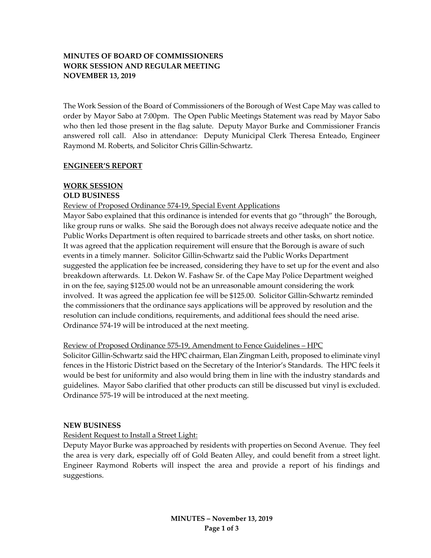# **MINUTES OF BOARD OF COMMISSIONERS WORK SESSION AND REGULAR MEETING NOVEMBER 13, 2019**

The Work Session of the Board of Commissioners of the Borough of West Cape May was called to order by Mayor Sabo at 7:00pm. The Open Public Meetings Statement was read by Mayor Sabo who then led those present in the flag salute. Deputy Mayor Burke and Commissioner Francis answered roll call. Also in attendance: Deputy Municipal Clerk Theresa Enteado, Engineer Raymond M. Roberts, and Solicitor Chris Gillin-Schwartz.

# **ENGINEER'S REPORT**

# **WORK SESSION**

# **OLD BUSINESS**

# Review of Proposed Ordinance 574-19, Special Event Applications

Mayor Sabo explained that this ordinance is intended for events that go "through" the Borough, like group runs or walks. She said the Borough does not always receive adequate notice and the Public Works Department is often required to barricade streets and other tasks, on short notice. It was agreed that the application requirement will ensure that the Borough is aware of such events in a timely manner. Solicitor Gillin-Schwartz said the Public Works Department suggested the application fee be increased, considering they have to set up for the event and also breakdown afterwards. Lt. Dekon W. Fashaw Sr. of the Cape May Police Department weighed in on the fee, saying \$125.00 would not be an unreasonable amount considering the work involved. It was agreed the application fee will be \$125.00. Solicitor Gillin-Schwartz reminded the commissioners that the ordinance says applications will be approved by resolution and the resolution can include conditions, requirements, and additional fees should the need arise. Ordinance 574-19 will be introduced at the next meeting.

# Review of Proposed Ordinance 575-19, Amendment to Fence Guidelines – HPC

Solicitor Gillin-Schwartz said the HPC chairman, Elan Zingman Leith, proposed to eliminate vinyl fences in the Historic District based on the Secretary of the Interior's Standards. The HPC feels it would be best for uniformity and also would bring them in line with the industry standards and guidelines. Mayor Sabo clarified that other products can still be discussed but vinyl is excluded. Ordinance 575-19 will be introduced at the next meeting.

#### **NEW BUSINESS**

# Resident Request to Install a Street Light:

Deputy Mayor Burke was approached by residents with properties on Second Avenue. They feel the area is very dark, especially off of Gold Beaten Alley, and could benefit from a street light. Engineer Raymond Roberts will inspect the area and provide a report of his findings and suggestions.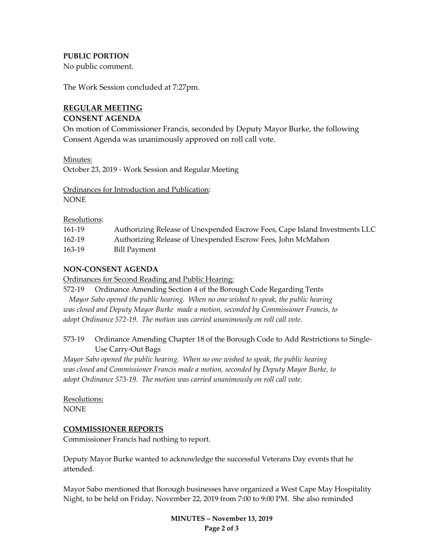# **PUBLIC PORTION**

No public comment.

The Work Session concluded at 7:27pm.

# **REGULAR MEETING**

# **CONSENT AGENDA**

On motion of Commissioner Francis, seconded by Deputy Mayor Burke, the following Consent Agenda was unanimously approved on roll call vote.

Minutes:

October 23, 2019 - Work Session and Regular Meeting

Ordinances for Introduction and Publication: NONE

# Resolutions:

| 161-19 | Authorizing Release of Unexpended Escrow Fees, Cape Island Investments LLC |
|--------|----------------------------------------------------------------------------|
| 162-19 | Authorizing Release of Unexpended Escrow Fees, John McMahon                |
| 163-19 | Bill Payment                                                               |

# **NON-CONSENT AGENDA**

Ordinances for Second Reading and Public Hearing:

572-19 Ordinance Amending Section 4 of the Borough Code Regarding Tents  *Mayor Sabo opened the public hearing. When no one wished to speak, the public hearing was closed and Deputy Mayor Burke made a motion, seconded by Commissioner Francis, to adopt Ordinance 572-19. The motion was carried unanimously on roll call vote.*

# 573-19 Ordinance Amending Chapter 18 of the Borough Code to Add Restrictions to Single-Use Carry-Out Bags

*Mayor Sabo opened the public hearing. When no one wished to speak, the public hearing was closed and Commissioner Francis made a motion, seconded by Deputy Mayor Burke, to adopt Ordinance 573-19. The motion was carried unanimously on roll call vote.*

Resolutions: **NONE** 

# **COMMISSIONER REPORTS**

Commissioner Francis had nothing to report.

Deputy Mayor Burke wanted to acknowledge the successful Veterans Day events that he attended.

Mayor Sabo mentioned that Borough businesses have organized a West Cape May Hospitality Night, to be held on Friday, November 22, 2019 from 7:00 to 9:00 PM. She also reminded

> **MINUTES – November 13, 2019 Page 2 of 3**